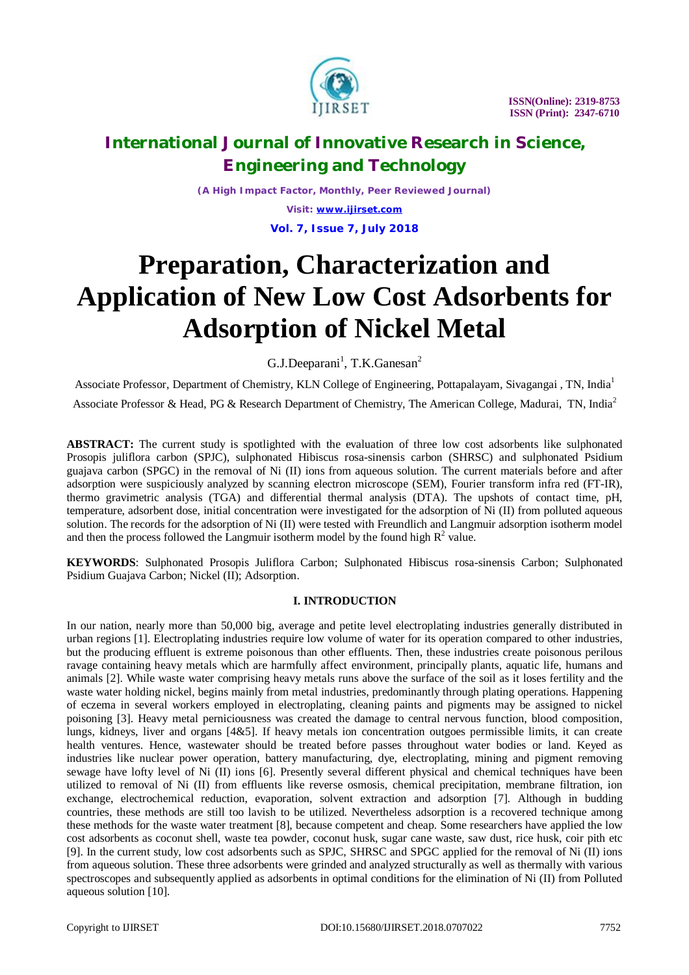

*(A High Impact Factor, Monthly, Peer Reviewed Journal)*

*Visit: [www.ijirset.com](http://www.ijirset.com)* **Vol. 7, Issue 7, July 2018**

# **Preparation, Characterization and Application of New Low Cost Adsorbents for Adsorption of Nickel Metal**

G.J.Deeparani<sup>1</sup>, T.K.Ganesan<sup>2</sup>

Associate Professor, Department of Chemistry, KLN College of Engineering, Pottapalayam, Sivagangai , TN, India<sup>1</sup> Associate Professor & Head, PG & Research Department of Chemistry, The American College, Madurai, TN, India<sup>2</sup>

**ABSTRACT:** The current study is spotlighted with the evaluation of three low cost adsorbents like sulphonated Prosopis juliflora carbon (SPJC), sulphonated Hibiscus rosa-sinensis carbon (SHRSC) and sulphonated Psidium guajava carbon (SPGC) in the removal of Ni (II) ions from aqueous solution. The current materials before and after adsorption were suspiciously analyzed by scanning electron microscope (SEM), Fourier transform infra red (FT-IR), thermo gravimetric analysis (TGA) and differential thermal analysis (DTA). The upshots of contact time, pH, temperature, adsorbent dose, initial concentration were investigated for the adsorption of Ni (II) from polluted aqueous solution. The records for the adsorption of Ni (II) were tested with Freundlich and Langmuir adsorption isotherm model and then the process followed the Langmuir isotherm model by the found high  $R^2$  value.

**KEYWORDS**: Sulphonated Prosopis Juliflora Carbon; Sulphonated Hibiscus rosa-sinensis Carbon; Sulphonated Psidium Guajava Carbon; Nickel (II); Adsorption.

### **I. INTRODUCTION**

In our nation, nearly more than 50,000 big, average and petite level electroplating industries generally distributed in urban regions [1]. Electroplating industries require low volume of water for its operation compared to other industries, but the producing effluent is extreme poisonous than other effluents. Then, these industries create poisonous perilous ravage containing heavy metals which are harmfully affect environment, principally plants, aquatic life, humans and animals [2]. While waste water comprising heavy metals runs above the surface of the soil as it loses fertility and the waste water holding nickel, begins mainly from metal industries, predominantly through plating operations. Happening of eczema in several workers employed in electroplating, cleaning paints and pigments may be assigned to nickel poisoning [3]. Heavy metal perniciousness was created the damage to central nervous function, blood composition, lungs, kidneys, liver and organs [4&5]. If heavy metals ion concentration outgoes permissible limits, it can create health ventures. Hence, wastewater should be treated before passes throughout water bodies or land. Keyed as industries like nuclear power operation, battery manufacturing, dye, electroplating, mining and pigment removing sewage have lofty level of Ni (II) ions [6]. Presently several different physical and chemical techniques have been utilized to removal of Ni (II) from effluents like reverse osmosis, chemical precipitation, membrane filtration, ion exchange, electrochemical reduction, evaporation, solvent extraction and adsorption [7]. Although in budding countries, these methods are still too lavish to be utilized. Nevertheless adsorption is a recovered technique among these methods for the waste water treatment [8], because competent and cheap. Some researchers have applied the low cost adsorbents as coconut shell, waste tea powder, coconut husk, sugar cane waste, saw dust, rice husk, coir pith etc [9]. In the current study, low cost adsorbents such as SPJC, SHRSC and SPGC applied for the removal of Ni (II) ions from aqueous solution. These three adsorbents were grinded and analyzed structurally as well as thermally with various spectroscopes and subsequently applied as adsorbents in optimal conditions for the elimination of Ni (II) from Polluted aqueous solution [10].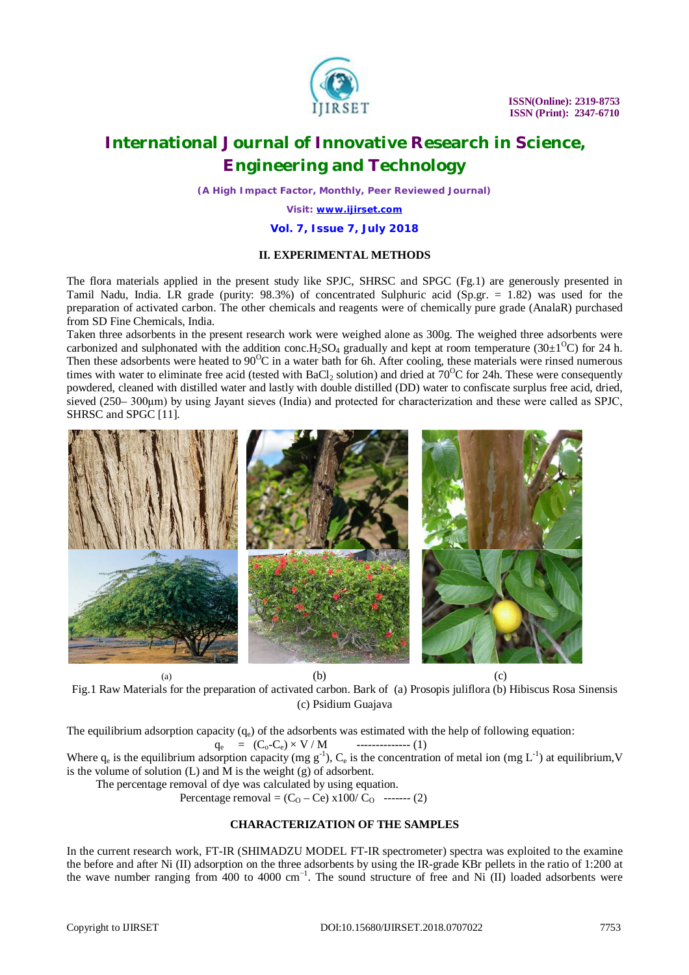

*(A High Impact Factor, Monthly, Peer Reviewed Journal)*

*Visit: [www.ijirset.com](http://www.ijirset.com)*

#### **Vol. 7, Issue 7, July 2018**

### **II. EXPERIMENTAL METHODS**

The flora materials applied in the present study like SPJC, SHRSC and SPGC (Fg.1) are generously presented in Tamil Nadu, India. LR grade (purity: 98.3%) of concentrated Sulphuric acid (Sp.gr. = 1.82) was used for the preparation of activated carbon. The other chemicals and reagents were of chemically pure grade (AnalaR) purchased from SD Fine Chemicals, India.

Taken three adsorbents in the present research work were weighed alone as 300g. The weighed three adsorbents were carbonized and sulphonated with the addition conc.H<sub>2</sub>SO<sub>4</sub> gradually and kept at room temperature (30 $\pm$ 1<sup>o</sup>C) for 24 h. Then these adsorbents were heated to  $90^{\circ}\text{C}$  in a water bath for 6h. After cooling, these materials were rinsed numerous times with water to eliminate free acid (tested with BaCl<sub>2</sub> solution) and dried at  $70^{\circ}$ C for 24h. These were consequently powdered, cleaned with distilled water and lastly with double distilled (DD) water to confiscate surplus free acid, dried, sieved (250– 300μm) by using Jayant sieves (India) and protected for characterization and these were called as SPJC, SHRSC and SPGC [11].



Fig.1 Raw Materials for the preparation of activated carbon. Bark of (a) Prosopis juliflora (b) Hibiscus Rosa Sinensis (c) Psidium Guajava

The equilibrium adsorption capacity  $(q_e)$  of the adsorbents was estimated with the help of following equation:

 q<sup>e</sup> = (Co-Ce) × V / M -------------- (1)

Where  $q_e$  is the equilibrium adsorption capacity (mg  $g^{-1}$ ),  $C_e$  is the concentration of metal ion (mg  $L^{-1}$ ) at equilibrium, V is the volume of solution (L) and M is the weight (g) of adsorbent.

The percentage removal of dye was calculated by using equation.

**Percentage removal =**  $(C_0 - Ce) \times 100/C_0$  **------- (2)** 

#### **CHARACTERIZATION OF THE SAMPLES**

In the current research work, FT-IR (SHIMADZU MODEL FT-IR spectrometer) spectra was exploited to the examine the before and after Ni (II) adsorption on the three adsorbents by using the IR-grade KBr pellets in the ratio of 1:200 at the wave number ranging from 400 to 4000 cm<sup>-1</sup>. The sound structure of free and Ni (II) loaded adsorbents were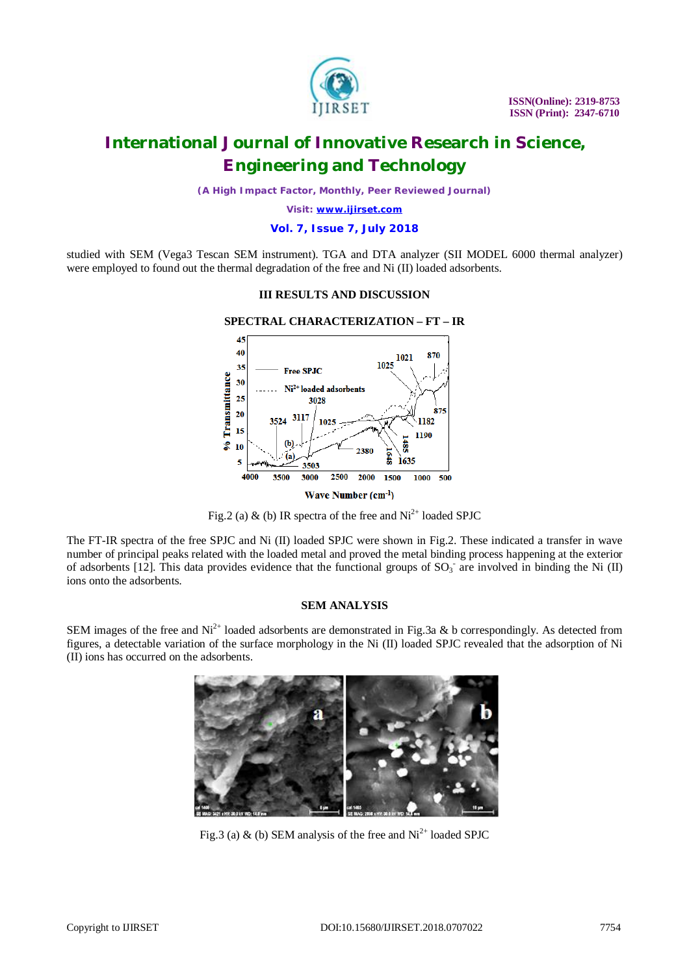

*(A High Impact Factor, Monthly, Peer Reviewed Journal)*

*Visit: [www.ijirset.com](http://www.ijirset.com)*

#### **Vol. 7, Issue 7, July 2018**

studied with SEM (Vega3 Tescan SEM instrument). TGA and DTA analyzer (SII MODEL 6000 thermal analyzer) were employed to found out the thermal degradation of the free and Ni (II) loaded adsorbents.

#### **III RESULTS AND DISCUSSION**



Fig.2 (a) & (b) IR spectra of the free and  $Ni^{2+}$  loaded SPJC

The FT-IR spectra of the free SPJC and Ni (II) loaded SPJC were shown in Fig.2. These indicated a transfer in wave number of principal peaks related with the loaded metal and proved the metal binding process happening at the exterior of adsorbents [12]. This data provides evidence that the functional groups of  $SO_3^-$  are involved in binding the Ni (II) ions onto the adsorbents.

#### **SEM ANALYSIS**

SEM images of the free and  $Ni^{2+}$  loaded adsorbents are demonstrated in Fig.3a & b correspondingly. As detected from figures, a detectable variation of the surface morphology in the Ni (II) loaded SPJC revealed that the adsorption of Ni (II) ions has occurred on the adsorbents.



Fig.3 (a) & (b) SEM analysis of the free and  $Ni<sup>2+</sup>$  loaded SPJC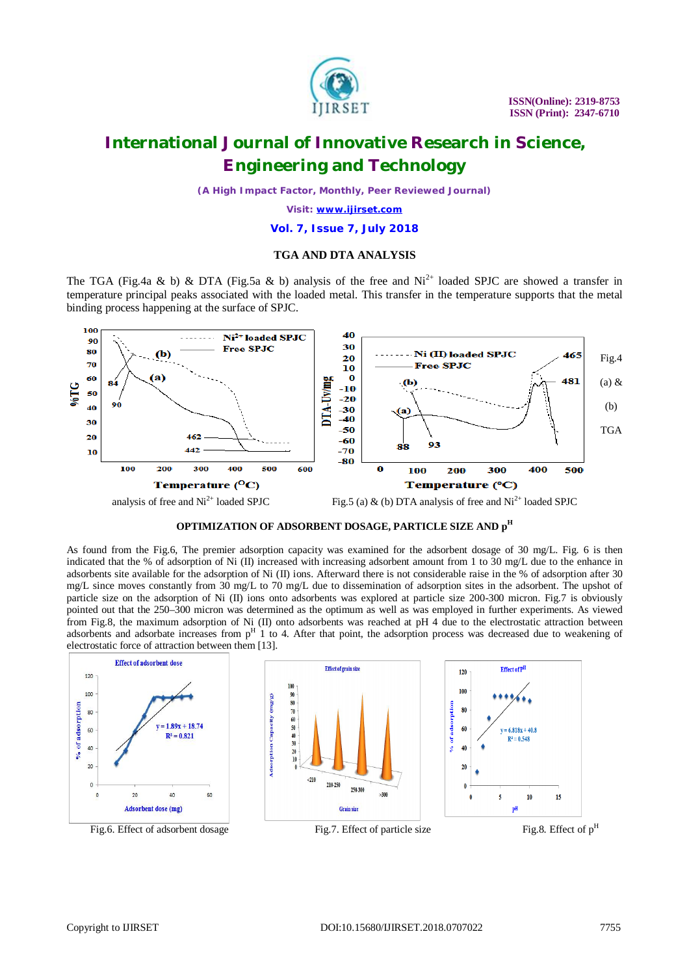

*(A High Impact Factor, Monthly, Peer Reviewed Journal)*

*Visit: [www.ijirset.com](http://www.ijirset.com)*

#### **Vol. 7, Issue 7, July 2018**

### **TGA AND DTA ANALYSIS**

The TGA (Fig.4a & b) & DTA (Fig.5a & b) analysis of the free and  $Ni<sup>2+</sup>$  loaded SPJC are showed a transfer in temperature principal peaks associated with the loaded metal. This transfer in the temperature supports that the metal binding process happening at the surface of SPJC.



#### **OPTIMIZATION OF ADSORBENT DOSAGE, PARTICLE SIZE AND p H**

As found from the Fig.6, The premier adsorption capacity was examined for the adsorbent dosage of 30 mg/L. Fig. 6 is then indicated that the % of adsorption of Ni (II) increased with increasing adsorbent amount from 1 to 30 mg/L due to the enhance in adsorbents site available for the adsorption of Ni (II) ions. Afterward there is not considerable raise in the % of adsorption after 30 mg/L since moves constantly from 30 mg/L to 70 mg/L due to dissemination of adsorption sites in the adsorbent. The upshot of particle size on the adsorption of Ni (II) ions onto adsorbents was explored at particle size 200-300 micron. Fig.7 is obviously pointed out that the 250–300 micron was determined as the optimum as well as was employed in further experiments. As viewed from Fig.8, the maximum adsorption of Ni (II) onto adsorbents was reached at pH 4 due to the electrostatic attraction between adsorbents and adsorbate increases from  $p<sup>H</sup>$  1 to 4. After that point, the adsorption process was decreased due to weakening of electrostatic force of attraction between them [13].

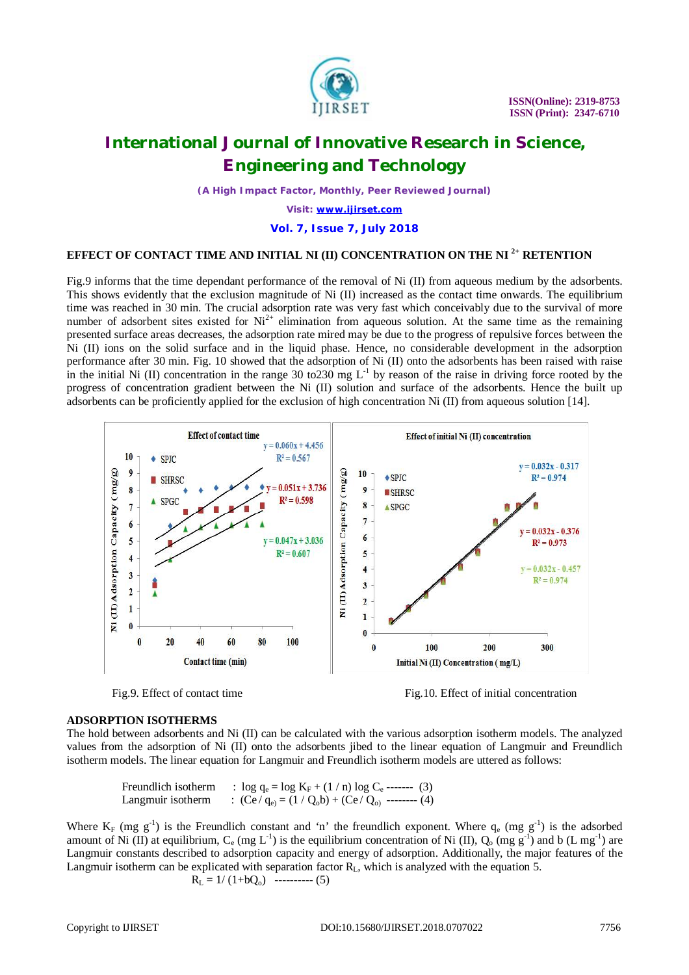

*(A High Impact Factor, Monthly, Peer Reviewed Journal)*

*Visit: [www.ijirset.com](http://www.ijirset.com)*

**Vol. 7, Issue 7, July 2018**

### **EFFECT OF CONTACT TIME AND INITIAL NI (II) CONCENTRATION ON THE NI 2+ RETENTION**

Fig.9 informs that the time dependant performance of the removal of Ni (II) from aqueous medium by the adsorbents. This shows evidently that the exclusion magnitude of Ni (II) increased as the contact time onwards. The equilibrium time was reached in 30 min. The crucial adsorption rate was very fast which conceivably due to the survival of more number of adsorbent sites existed for  $Ni^{2+}$  elimination from aqueous solution. At the same time as the remaining presented surface areas decreases, the adsorption rate mired may be due to the progress of repulsive forces between the Ni (II) ions on the solid surface and in the liquid phase. Hence, no considerable development in the adsorption performance after 30 min. Fig. 10 showed that the adsorption of Ni (II) onto the adsorbents has been raised with raise in the initial Ni (II) concentration in the range 30 to 230 mg  $L^{-1}$  by reason of the raise in driving force rooted by the progress of concentration gradient between the Ni (II) solution and surface of the adsorbents. Hence the built up adsorbents can be proficiently applied for the exclusion of high concentration Ni (II) from aqueous solution [14].



Fig.9. Effect of contact time Fig.10. Effect of initial concentration

#### **ADSORPTION ISOTHERMS**

The hold between adsorbents and Ni (II) can be calculated with the various adsorption isotherm models. The analyzed values from the adsorption of Ni (II) onto the adsorbents jibed to the linear equation of Langmuir and Freundlich isotherm models. The linear equation for Langmuir and Freundlich isotherm models are uttered as follows:

Freundlich isotherm :  $\log q_e = \log K_F + (1/n) \log C_e$  ------- (3) Langmuir isotherm :  $(Ce / q_e) = (1 / Q_0 b) + (Ce / Q_0)$  -------- (4)

Where  $K_F$  (mg  $g^{-1}$ ) is the Freundlich constant and 'n' the freundlich exponent. Where  $q_e$  (mg  $g^{-1}$ ) is the adsorbed amount of Ni (II) at equilibrium,  $C_e$  (mg L<sup>-1</sup>) is the equilibrium concentration of Ni (II),  $Q_o$  (mg g<sup>-1</sup>) and b (L mg<sup>-1</sup>) are Langmuir constants described to adsorption capacity and energy of adsorption. Additionally, the major features of the Langmuir isotherm can be explicated with separation factor  $R<sub>L</sub>$ , which is analyzed with the equation 5.

$$
R_{L} = 1/(1+bQ_{o}) \quad \cdots \cdots \cdots \cdots (5)
$$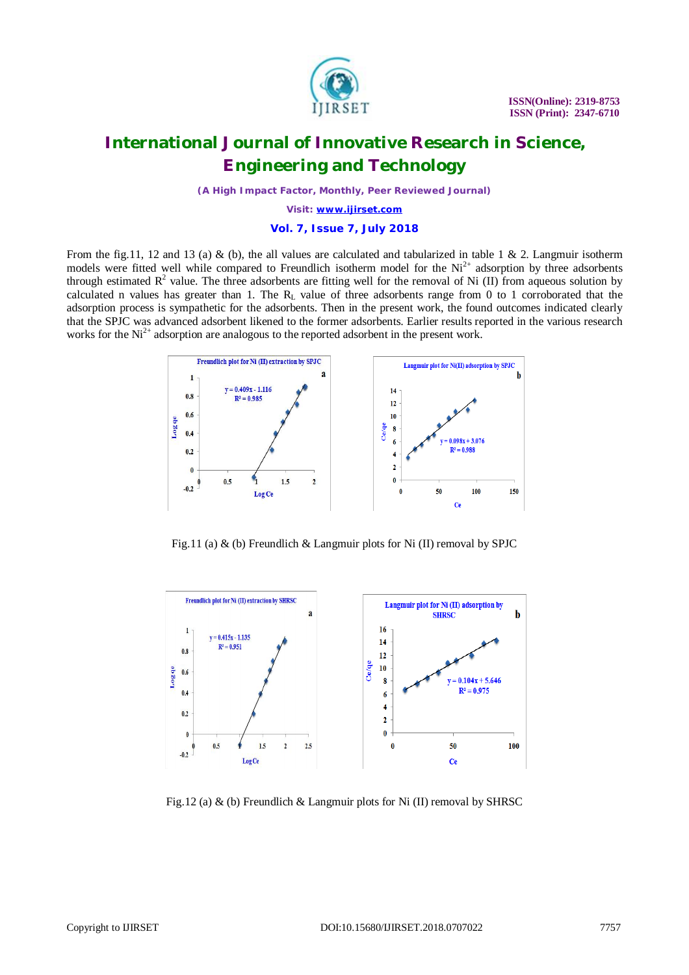

*(A High Impact Factor, Monthly, Peer Reviewed Journal)*

*Visit: [www.ijirset.com](http://www.ijirset.com)*

### **Vol. 7, Issue 7, July 2018**

From the fig.11, 12 and 13 (a) & (b), the all values are calculated and tabularized in table 1 & 2. Langmuir isotherm models were fitted well while compared to Freundlich isotherm model for the  $Ni<sup>2+</sup>$  adsorption by three adsorbents through estimated  $R^2$  value. The three adsorbents are fitting well for the removal of Ni (II) from aqueous solution by calculated n values has greater than 1. The  $R_L$  value of three adsorbents range from 0 to 1 corroborated that the adsorption process is sympathetic for the adsorbents. Then in the present work, the found outcomes indicated clearly that the SPJC was advanced adsorbent likened to the former adsorbents. Earlier results reported in the various research works for the  $Ni^{2+}$  adsorption are analogous to the reported adsorbent in the present work.



Fig.11 (a) & (b) Freundlich & Langmuir plots for Ni (II) removal by SPJC



Fig.12 (a) & (b) Freundlich & Langmuir plots for Ni (II) removal by SHRSC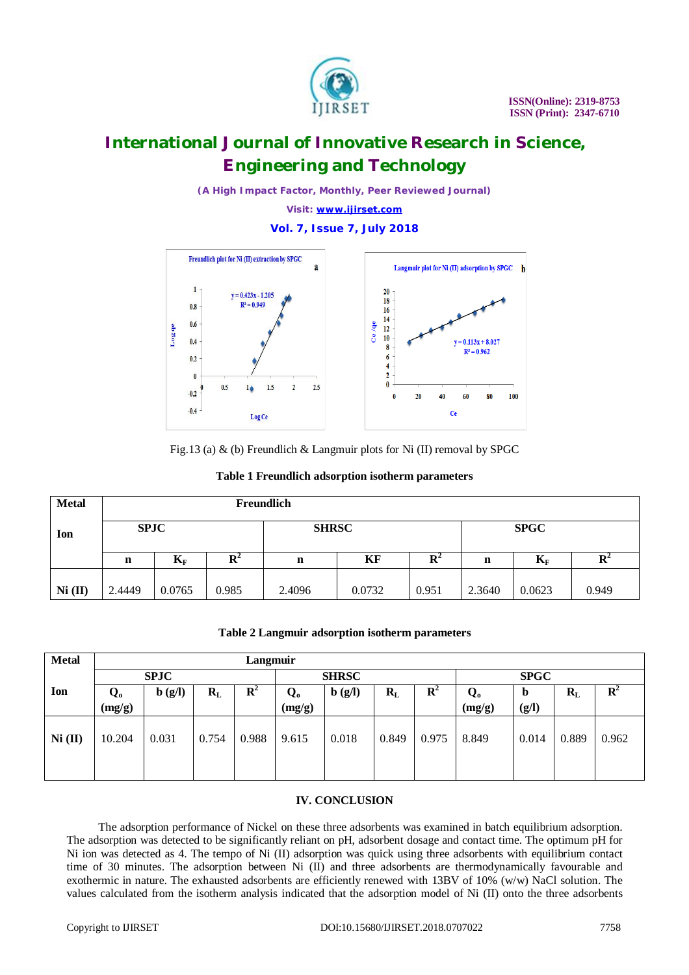

*(A High Impact Factor, Monthly, Peer Reviewed Journal)*

*Visit: [www.ijirset.com](http://www.ijirset.com)*

#### **Vol. 7, Issue 7, July 2018**



Fig.13 (a) & (b) Freundlich & Langmuir plots for Ni (II) removal by SPGC

|  |  |  |  | Table 1 Freundlich adsorption isotherm parameters |
|--|--|--|--|---------------------------------------------------|
|--|--|--|--|---------------------------------------------------|

| <b>Metal</b> | Freundlich  |        |       |              |        |       |             |        |                |  |
|--------------|-------------|--------|-------|--------------|--------|-------|-------------|--------|----------------|--|
| Ion          | <b>SPJC</b> |        |       | <b>SHRSC</b> |        |       | <b>SPGC</b> |        |                |  |
|              | n           | $K_F$  | K.    | n            | KF     | R     | n           | $K_F$  | $\mathbf{R}^2$ |  |
| Ni (II)      | 2.4449      | 0.0765 | 0.985 | 2.4096       | 0.0732 | 0.951 | 2.3640      | 0.0623 | 0.949          |  |

|  |  |  |  |  | Table 2 Langmuir adsorption isotherm parameters |
|--|--|--|--|--|-------------------------------------------------|
|--|--|--|--|--|-------------------------------------------------|

| <b>Metal</b> | Langmuir     |                                     |         |                |                                     |                                     |             |                |                                   |                      |         |       |
|--------------|--------------|-------------------------------------|---------|----------------|-------------------------------------|-------------------------------------|-------------|----------------|-----------------------------------|----------------------|---------|-------|
|              | <b>SPJC</b>  |                                     |         | <b>SHRSC</b>   |                                     |                                     | <b>SPGC</b> |                |                                   |                      |         |       |
| Ion          | Q.<br>(mg/g) | $\mathbf{b}(\mathbf{g}/\mathbf{l})$ | $R_{L}$ | $\mathbf{R}^2$ | $\mathbf{Q}_{\mathbf{0}}$<br>(mg/g) | $\mathbf{b}(\mathbf{g}/\mathbf{l})$ | $R_{L}$     | $\mathbf{R}^2$ | $\mathbf{Q}_\mathbf{o}$<br>(mg/g) | $\mathbf b$<br>(g/l) | $R_{L}$ | R     |
|              |              |                                     |         |                |                                     |                                     |             |                |                                   |                      |         |       |
| Ni (II)      | 10.204       | 0.031                               | 0.754   | 0.988          | 9.615                               | 0.018                               | 0.849       | 0.975          | 8.849                             | 0.014                | 0.889   | 0.962 |
|              |              |                                     |         |                |                                     |                                     |             |                |                                   |                      |         |       |

#### **IV. CONCLUSION**

 The adsorption performance of Nickel on these three adsorbents was examined in batch equilibrium adsorption. The adsorption was detected to be significantly reliant on pH, adsorbent dosage and contact time. The optimum pH for Ni ion was detected as 4. The tempo of Ni (II) adsorption was quick using three adsorbents with equilibrium contact time of 30 minutes. The adsorption between Ni (II) and three adsorbents are thermodynamically favourable and exothermic in nature. The exhausted adsorbents are efficiently renewed with 13BV of 10% (w/w) NaCl solution. The values calculated from the isotherm analysis indicated that the adsorption model of Ni (II) onto the three adsorbents